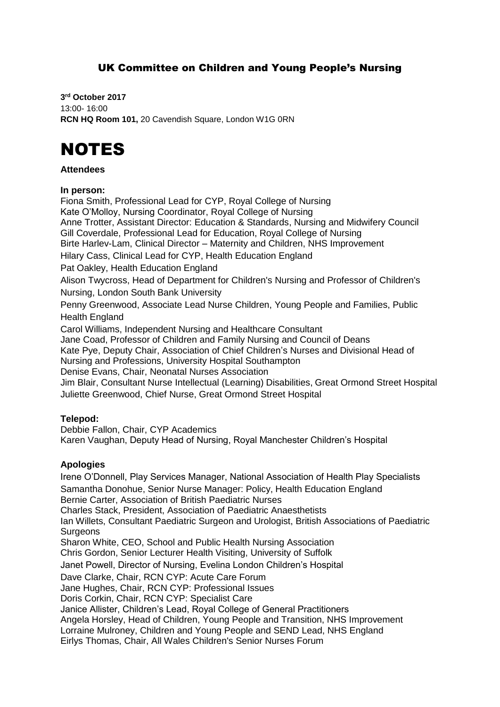# UK Committee on Children and Young People's Nursing

**3 rd October 2017** 13:00- 16:00 **RCN HQ Room 101,** 20 Cavendish Square, London W1G 0RN

# NOTES

#### **Attendees**

#### **In person:**

Fiona Smith, Professional Lead for CYP, Royal College of Nursing Kate O'Molloy, Nursing Coordinator, Royal College of Nursing Anne Trotter, Assistant Director: Education & Standards, Nursing and Midwifery Council Gill Coverdale, Professional Lead for Education, Royal College of Nursing Birte Harlev-Lam, Clinical Director – Maternity and Children, NHS Improvement Hilary Cass, Clinical Lead for CYP, Health Education England Pat Oakley, Health Education England Alison Twycross, Head of Department for Children's Nursing and Professor of Children's Nursing, London South Bank University Penny Greenwood, Associate Lead Nurse Children, Young People and Families, Public Health England Carol Williams, Independent Nursing and Healthcare Consultant Jane Coad, Professor of Children and Family Nursing and Council of Deans Kate Pye, Deputy Chair, Association of Chief Children's Nurses and Divisional Head of Nursing and Professions, University Hospital Southampton Denise Evans, Chair, Neonatal Nurses Association Jim Blair, Consultant Nurse Intellectual (Learning) Disabilities, Great Ormond Street Hospital Juliette Greenwood, Chief Nurse, Great Ormond Street Hospital

#### **Telepod:**

Debbie Fallon, Chair, CYP Academics Karen Vaughan, Deputy Head of Nursing, Royal Manchester Children's Hospital

## **Apologies**

Irene O'Donnell, Play Services Manager, National Association of Health Play Specialists Samantha Donohue, Senior Nurse Manager: Policy, Health Education England Bernie Carter, Association of British Paediatric Nurses Charles Stack, President, Association of Paediatric Anaesthetists Ian Willets, Consultant Paediatric Surgeon and Urologist, British Associations of Paediatric **Surgeons** Sharon White, CEO, School and Public Health Nursing Association Chris Gordon, Senior Lecturer Health Visiting, University of Suffolk Janet Powell, Director of Nursing, Evelina London Children's Hospital Dave Clarke, Chair, RCN CYP: Acute Care Forum Jane Hughes, Chair, RCN CYP: Professional Issues Doris Corkin, Chair, RCN CYP: Specialist Care Janice Allister, Children's Lead, Royal College of General Practitioners Angela Horsley, Head of Children, Young People and Transition, NHS Improvement Lorraine Mulroney, Children and Young People and SEND Lead, NHS England Eirlys Thomas, Chair, All Wales Children's Senior Nurses Forum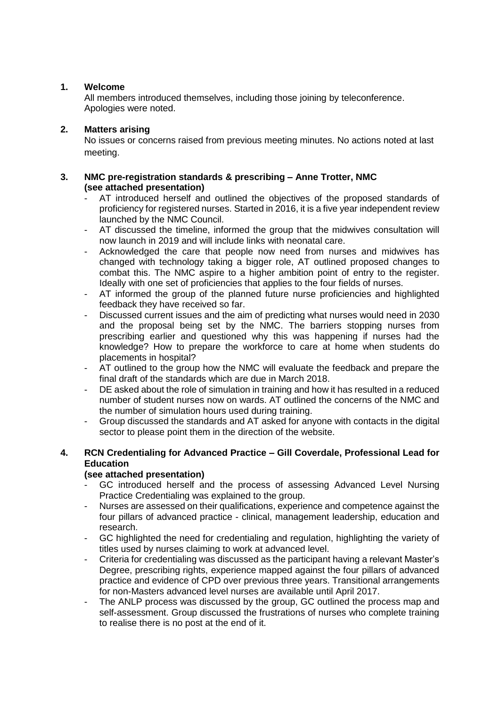## **1. Welcome**

All members introduced themselves, including those joining by teleconference. Apologies were noted.

#### **2. Matters arising**

No issues or concerns raised from previous meeting minutes. No actions noted at last meeting.

#### **3. NMC pre-registration standards & prescribing – Anne Trotter, NMC (see attached presentation)**

- AT introduced herself and outlined the objectives of the proposed standards of proficiency for registered nurses. Started in 2016, it is a five year independent review launched by the NMC Council.
- AT discussed the timeline, informed the group that the midwives consultation will now launch in 2019 and will include links with neonatal care.
- Acknowledged the care that people now need from nurses and midwives has changed with technology taking a bigger role, AT outlined proposed changes to combat this. The NMC aspire to a higher ambition point of entry to the register. Ideally with one set of proficiencies that applies to the four fields of nurses.
- AT informed the group of the planned future nurse proficiencies and highlighted feedback they have received so far.
- Discussed current issues and the aim of predicting what nurses would need in 2030 and the proposal being set by the NMC. The barriers stopping nurses from prescribing earlier and questioned why this was happening if nurses had the knowledge? How to prepare the workforce to care at home when students do placements in hospital?
- AT outlined to the group how the NMC will evaluate the feedback and prepare the final draft of the standards which are due in March 2018.
- DE asked about the role of simulation in training and how it has resulted in a reduced number of student nurses now on wards. AT outlined the concerns of the NMC and the number of simulation hours used during training.
- Group discussed the standards and AT asked for anyone with contacts in the digital sector to please point them in the direction of the website.

### **4. RCN Credentialing for Advanced Practice – Gill Coverdale, Professional Lead for Education**

## **(see attached presentation)**

- GC introduced herself and the process of assessing Advanced Level Nursing Practice Credentialing was explained to the group.
- Nurses are assessed on their qualifications, experience and competence against the four pillars of advanced practice - clinical, management leadership, education and research.
- GC highlighted the need for credentialing and regulation, highlighting the variety of titles used by nurses claiming to work at advanced level.
- Criteria for credentialing was discussed as the participant having a relevant Master's Degree, prescribing rights, experience mapped against the four pillars of advanced practice and evidence of CPD over previous three years. Transitional arrangements for non-Masters advanced level nurses are available until April 2017.
- The ANLP process was discussed by the group, GC outlined the process map and self-assessment. Group discussed the frustrations of nurses who complete training to realise there is no post at the end of it.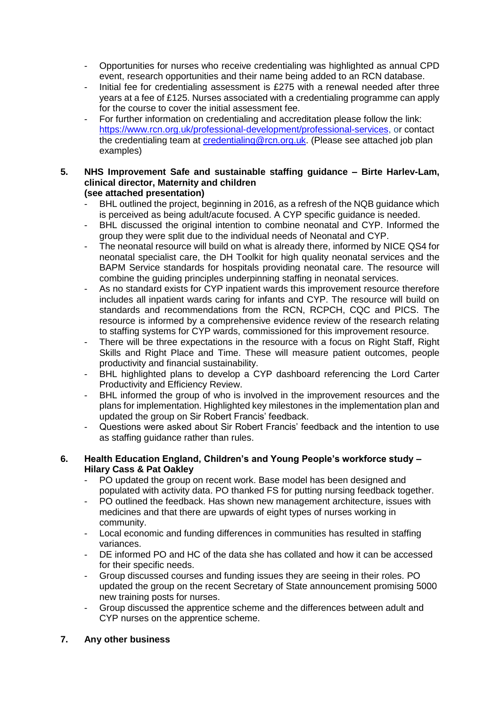- Opportunities for nurses who receive credentialing was highlighted as annual CPD event, research opportunities and their name being added to an RCN database.
- Initial fee for credentialing assessment is  $£275$  with a renewal needed after three years at a fee of £125. Nurses associated with a credentialing programme can apply for the course to cover the initial assessment fee.
- For further information on credentialing and accreditation please follow the link: [https://www.rcn.org.uk/professional-development/professional-services,](https://www.rcn.org.uk/professional-development/professional-services) or contact the credentialing team at [credentialing@rcn.org.uk.](mailto:credentialing@rcn.org.uk) (Please see attached job plan examples)

#### **5. NHS Improvement Safe and sustainable staffing guidance – Birte Harlev-Lam, clinical director, Maternity and children (see attached presentation)**

- BHL outlined the project, beginning in 2016, as a refresh of the NQB guidance which is perceived as being adult/acute focused. A CYP specific guidance is needed.
- BHL discussed the original intention to combine neonatal and CYP. Informed the group they were split due to the individual needs of Neonatal and CYP.
- The neonatal resource will build on what is already there, informed by NICE QS4 for neonatal specialist care, the DH Toolkit for high quality neonatal services and the BAPM Service standards for hospitals providing neonatal care. The resource will combine the guiding principles underpinning staffing in neonatal services.
- As no standard exists for CYP inpatient wards this improvement resource therefore includes all inpatient wards caring for infants and CYP. The resource will build on standards and recommendations from the RCN, RCPCH, CQC and PICS. The resource is informed by a comprehensive evidence review of the research relating to staffing systems for CYP wards, commissioned for this improvement resource.
- There will be three expectations in the resource with a focus on Right Staff, Right Skills and Right Place and Time. These will measure patient outcomes, people productivity and financial sustainability.
- BHL highlighted plans to develop a CYP dashboard referencing the Lord Carter Productivity and Efficiency Review.
- BHL informed the group of who is involved in the improvement resources and the plans for implementation. Highlighted key milestones in the implementation plan and updated the group on Sir Robert Francis' feedback.
- Questions were asked about Sir Robert Francis' feedback and the intention to use as staffing guidance rather than rules.

#### **6. Health Education England, Children's and Young People's workforce study – Hilary Cass & Pat Oakley**

- PO updated the group on recent work. Base model has been designed and populated with activity data. PO thanked FS for putting nursing feedback together.
- PO outlined the feedback. Has shown new management architecture, issues with medicines and that there are upwards of eight types of nurses working in community.
- Local economic and funding differences in communities has resulted in staffing variances.
- DE informed PO and HC of the data she has collated and how it can be accessed for their specific needs.
- Group discussed courses and funding issues they are seeing in their roles. PO updated the group on the recent Secretary of State announcement promising 5000 new training posts for nurses.
- Group discussed the apprentice scheme and the differences between adult and CYP nurses on the apprentice scheme.

## **7. Any other business**